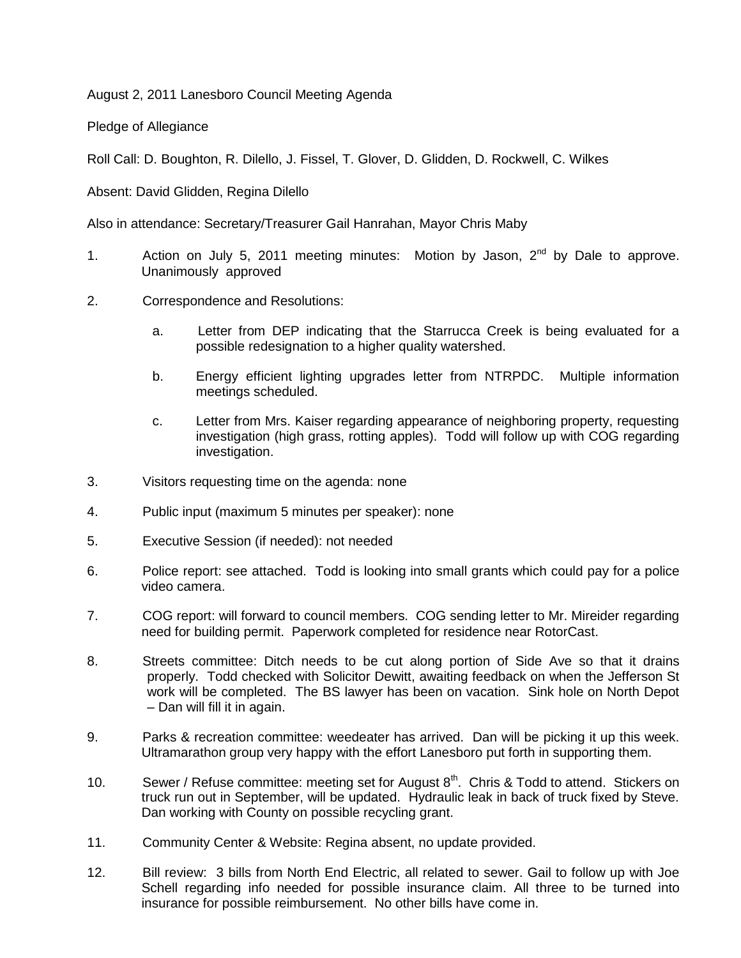August 2, 2011 Lanesboro Council Meeting Agenda

Pledge of Allegiance

Roll Call: D. Boughton, R. Dilello, J. Fissel, T. Glover, D. Glidden, D. Rockwell, C. Wilkes

Absent: David Glidden, Regina Dilello

Also in attendance: Secretary/Treasurer Gail Hanrahan, Mayor Chris Maby

- 1. Action on July 5, 2011 meeting minutes: Motion by Jason,  $2^{nd}$  by Dale to approve. Unanimously approved
- 2. Correspondence and Resolutions:
	- a. Letter from DEP indicating that the Starrucca Creek is being evaluated for a possible redesignation to a higher quality watershed.
	- b. Energy efficient lighting upgrades letter from NTRPDC. Multiple information meetings scheduled.
	- c. Letter from Mrs. Kaiser regarding appearance of neighboring property, requesting investigation (high grass, rotting apples). Todd will follow up with COG regarding investigation.
- 3. Visitors requesting time on the agenda: none
- 4. Public input (maximum 5 minutes per speaker): none
- 5. Executive Session (if needed): not needed
- 6. Police report: see attached. Todd is looking into small grants which could pay for a police video camera.
- 7. COG report: will forward to council members. COG sending letter to Mr. Mireider regarding need for building permit. Paperwork completed for residence near RotorCast.
- 8. Streets committee: Ditch needs to be cut along portion of Side Ave so that it drains properly. Todd checked with Solicitor Dewitt, awaiting feedback on when the Jefferson St work will be completed. The BS lawyer has been on vacation. Sink hole on North Depot – Dan will fill it in again.
- 9. Parks & recreation committee: weedeater has arrived. Dan will be picking it up this week. Ultramarathon group very happy with the effort Lanesboro put forth in supporting them.
- 10. Sewer / Refuse committee: meeting set for August  $8<sup>th</sup>$ . Chris & Todd to attend. Stickers on truck run out in September, will be updated. Hydraulic leak in back of truck fixed by Steve. Dan working with County on possible recycling grant.
- 11. Community Center & Website: Regina absent, no update provided.
- 12. Bill review: 3 bills from North End Electric, all related to sewer. Gail to follow up with Joe Schell regarding info needed for possible insurance claim. All three to be turned into insurance for possible reimbursement. No other bills have come in.